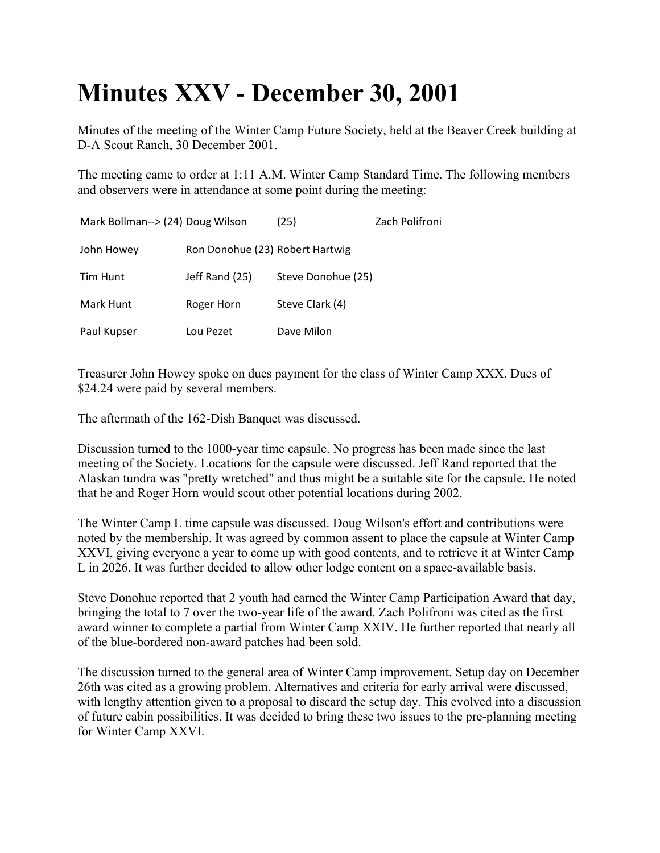## **Minutes XXV - December 30, 2001**

Minutes of the meeting of the Winter Camp Future Society, held at the Beaver Creek building at D-A Scout Ranch, 30 December 2001.

The meeting came to order at 1:11 A.M. Winter Camp Standard Time. The following members and observers were in attendance at some point during the meeting:

| Mark Bollman--> (24) Doug Wilson |                                 | (25)               | Zach Polifroni |
|----------------------------------|---------------------------------|--------------------|----------------|
| John Howey                       | Ron Donohue (23) Robert Hartwig |                    |                |
| Tim Hunt                         | Jeff Rand (25)                  | Steve Donohue (25) |                |
| Mark Hunt                        | Roger Horn                      | Steve Clark (4)    |                |
| Paul Kupser                      | Lou Pezet                       | Dave Milon         |                |

Treasurer John Howey spoke on dues payment for the class of Winter Camp XXX. Dues of \$24.24 were paid by several members.

The aftermath of the 162-Dish Banquet was discussed.

Discussion turned to the 1000-year time capsule. No progress has been made since the last meeting of the Society. Locations for the capsule were discussed. Jeff Rand reported that the Alaskan tundra was "pretty wretched" and thus might be a suitable site for the capsule. He noted that he and Roger Horn would scout other potential locations during 2002.

The Winter Camp L time capsule was discussed. Doug Wilson's effort and contributions were noted by the membership. It was agreed by common assent to place the capsule at Winter Camp XXVI, giving everyone a year to come up with good contents, and to retrieve it at Winter Camp L in 2026. It was further decided to allow other lodge content on a space-available basis.

Steve Donohue reported that 2 youth had earned the Winter Camp Participation Award that day, bringing the total to 7 over the two-year life of the award. Zach Polifroni was cited as the first award winner to complete a partial from Winter Camp XXIV. He further reported that nearly all of the blue-bordered non-award patches had been sold.

The discussion turned to the general area of Winter Camp improvement. Setup day on December 26th was cited as a growing problem. Alternatives and criteria for early arrival were discussed, with lengthy attention given to a proposal to discard the setup day. This evolved into a discussion of future cabin possibilities. It was decided to bring these two issues to the pre-planning meeting for Winter Camp XXVI.